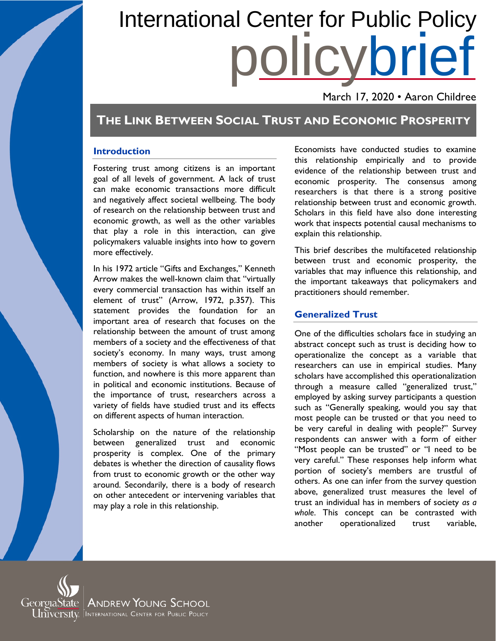# policybrief International Center for Public Policy

March 17, 2020 • Aaron Childree

## **THE LINK BETWEEN SOCIAL TRUST AND ECONOMIC PROSPERITY**

#### **Introduction**

Fostering trust among citizens is an important goal of all levels of government. A lack of trust can make economic transactions more difficult and negatively affect societal wellbeing. The body of research on the relationship between trust and economic growth, as well as the other variables that play a role in this interaction, can give policymakers valuable insights into how to govern more effectively.

In his 1972 article "Gifts and Exchanges," Kenneth Arrow makes the well-known claim that "virtually every commercial transaction has within itself an element of trust" (Arrow, 1972, p.357). This statement provides the foundation for an important area of research that focuses on the relationship between the amount of trust among members of a society and the effectiveness of that society's economy. In many ways, trust among members of society is what allows a society to function, and nowhere is this more apparent than in political and economic institutions. Because of the importance of trust, researchers across a variety of fields have studied trust and its effects on different aspects of human interaction.

Scholarship on the nature of the relationship between generalized trust and economic prosperity is complex. One of the primary debates is whether the direction of causality flows from trust to economic growth or the other way around. Secondarily, there is a body of research on other antecedent or intervening variables that may play a role in this relationship.

Economists have conducted studies to examine this relationship empirically and to provide evidence of the relationship between trust and economic prosperity. The consensus among researchers is that there is a strong positive relationship between trust and economic growth. Scholars in this field have also done interesting work that inspects potential causal mechanisms to explain this relationship.

This brief describes the multifaceted relationship between trust and economic prosperity, the variables that may influence this relationship, and the important takeaways that policymakers and practitioners should remember.

## **Generalized Trust**

One of the difficulties scholars face in studying an abstract concept such as trust is deciding how to operationalize the concept as a variable that researchers can use in empirical studies. Many scholars have accomplished this operationalization through a measure called "generalized trust," employed by asking survey participants a question such as "Generally speaking, would you say that most people can be trusted or that you need to be very careful in dealing with people?" Survey respondents can answer with a form of either "Most people can be trusted" or "I need to be very careful." These responses help inform what portion of society's members are trustful of others. As one can infer from the survey question above, generalized trust measures the level of trust an individual has in members of society *as a whole*. This concept can be contrasted with another operationalized trust variable,

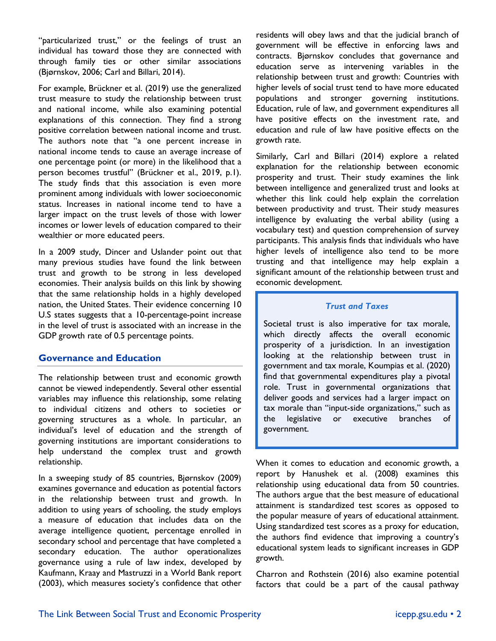"particularized trust," or the feelings of trust an individual has toward those they are connected with through family ties or other similar associations (Bjørnskov, 2006; Carl and Billari, 2014).

For example, Brückner et al. (2019) use the generalized trust measure to study the relationship between trust and national income, while also examining potential explanations of this connection. They find a strong positive correlation between national income and trust. The authors note that "a one percent increase in national income tends to cause an average increase of one percentage point (or more) in the likelihood that a person becomes trustful" (Brückner et al., 2019, p.1). The study finds that this association is even more prominent among individuals with lower socioeconomic status. Increases in national income tend to have a larger impact on the trust levels of those with lower incomes or lower levels of education compared to their wealthier or more educated peers.

In a 2009 study, Dincer and Uslander point out that many previous studies have found the link between trust and growth to be strong in less developed economies. Their analysis builds on this link by showing that the same relationship holds in a highly developed nation, the United States. Their evidence concerning 10 U.S states suggests that a 10-percentage-point increase in the level of trust is associated with an increase in the GDP growth rate of 0.5 percentage points.

## **Governance and Education**

The relationship between trust and economic growth cannot be viewed independently. Several other essential variables may influence this relationship, some relating to individual citizens and others to societies or governing structures as a whole. In particular, an individual's level of education and the strength of governing institutions are important considerations to help understand the complex trust and growth relationship.

In a sweeping study of 85 countries, Bjørnskov (2009) examines governance and education as potential factors in the relationship between trust and growth. In addition to using years of schooling, the study employs a measure of education that includes data on the average intelligence quotient, percentage enrolled in secondary school and percentage that have completed a secondary education. The author operationalizes governance using a rule of law index, developed by Kaufmann, Kraay and Mastruzzi in a World Bank report (2003), which measures society's confidence that other residents will obey laws and that the judicial branch of government will be effective in enforcing laws and contracts. Bjørnskov concludes that governance and education serve as intervening variables in the relationship between trust and growth: Countries with higher levels of social trust tend to have more educated populations and stronger governing institutions. Education, rule of law, and government expenditures all have positive effects on the investment rate, and education and rule of law have positive effects on the growth rate.

Similarly, Carl and Billari (2014) explore a related explanation for the relationship between economic prosperity and trust. Their study examines the link between intelligence and generalized trust and looks at whether this link could help explain the correlation between productivity and trust. Their study measures intelligence by evaluating the verbal ability (using a vocabulary test) and question comprehension of survey participants. This analysis finds that individuals who have higher levels of intelligence also tend to be more trusting and that intelligence may help explain a significant amount of the relationship between trust and economic development.

#### *Trust and Taxes*

Societal trust is also imperative for tax morale, which directly affects the overall economic prosperity of a jurisdiction. In an investigation looking at the relationship between trust in government and tax morale, Koumpias et al. (2020) find that governmental expenditures play a pivotal role. Trust in governmental organizations that deliver goods and services had a larger impact on tax morale than "input-side organizations," such as the legislative or executive branches of government.

When it comes to education and economic growth, a report by Hanushek et al. (2008) examines this relationship using educational data from 50 countries. The authors argue that the best measure of educational attainment is standardized test scores as opposed to the popular measure of years of educational attainment. Using standardized test scores as a proxy for education, the authors find evidence that improving a country's educational system leads to significant increases in GDP growth.

Charron and Rothstein (2016) also examine potential factors that could be a part of the causal pathway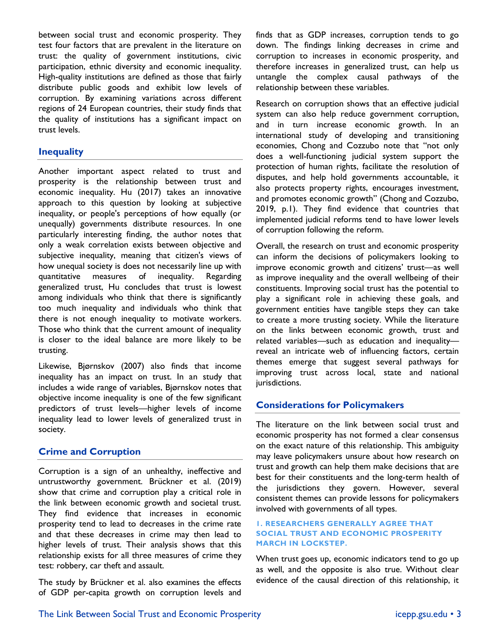between social trust and economic prosperity. They test four factors that are prevalent in the literature on trust: the quality of government institutions, civic participation, ethnic diversity and economic inequality. High-quality institutions are defined as those that fairly distribute public goods and exhibit low levels of corruption. By examining variations across different regions of 24 European countries, their study finds that the quality of institutions has a significant impact on trust levels.

## **Inequality**

Another important aspect related to trust and prosperity is the relationship between trust and economic inequality. Hu (2017) takes an innovative approach to this question by looking at subjective inequality, or people's perceptions of how equally (or unequally) governments distribute resources. In one particularly interesting finding, the author notes that only a weak correlation exists between objective and subjective inequality, meaning that citizen's views of how unequal society is does not necessarily line up with quantitative measures of inequality. Regarding generalized trust, Hu concludes that trust is lowest among individuals who think that there is significantly too much inequality and individuals who think that there is not enough inequality to motivate workers. Those who think that the current amount of inequality is closer to the ideal balance are more likely to be trusting.

Likewise, Bjørnskov (2007) also finds that income inequality has an impact on trust. In an study that includes a wide range of variables, Bjørnskov notes that objective income inequality is one of the few significant predictors of trust levels—higher levels of income inequality lead to lower levels of generalized trust in society.

## **Crime and Corruption**

Corruption is a sign of an unhealthy, ineffective and untrustworthy government. Brückner et al. (2019) show that crime and corruption play a critical role in the link between economic growth and societal trust. They find evidence that increases in economic prosperity tend to lead to decreases in the crime rate and that these decreases in crime may then lead to higher levels of trust. Their analysis shows that this relationship exists for all three measures of crime they test: robbery, car theft and assault.

The study by Brückner et al. also examines the effects of GDP per-capita growth on corruption levels and finds that as GDP increases, corruption tends to go down. The findings linking decreases in crime and corruption to increases in economic prosperity, and therefore increases in generalized trust, can help us untangle the complex causal pathways of the relationship between these variables.

Research on corruption shows that an effective judicial system can also help reduce government corruption, and in turn increase economic growth. In an international study of developing and transitioning economies, Chong and Cozzubo note that "not only does a well-functioning judicial system support the protection of human rights, facilitate the resolution of disputes, and help hold governments accountable, it also protects property rights, encourages investment, and promotes economic growth" (Chong and Cozzubo, 2019, p.1). They find evidence that countries that implemented judicial reforms tend to have lower levels of corruption following the reform.

Overall, the research on trust and economic prosperity can inform the decisions of policymakers looking to improve economic growth and citizens' trust—as well as improve inequality and the overall wellbeing of their constituents. Improving social trust has the potential to play a significant role in achieving these goals, and government entities have tangible steps they can take to create a more trusting society. While the literature on the links between economic growth, trust and related variables—such as education and inequality reveal an intricate web of influencing factors, certain themes emerge that suggest several pathways for improving trust across local, state and national jurisdictions.

## **Considerations for Policymakers**

The literature on the link between social trust and economic prosperity has not formed a clear consensus on the exact nature of this relationship. This ambiguity may leave policymakers unsure about how research on trust and growth can help them make decisions that are best for their constituents and the long-term health of the jurisdictions they govern. However, several consistent themes can provide lessons for policymakers involved with governments of all types.

#### **1. RESEARCHERS GENERALLY AGREE THAT SOCIAL TRUST AND ECONOMIC PROSPERITY MARCH IN LOCKSTEP.**

When trust goes up, economic indicators tend to go up as well, and the opposite is also true. Without clear evidence of the causal direction of this relationship, it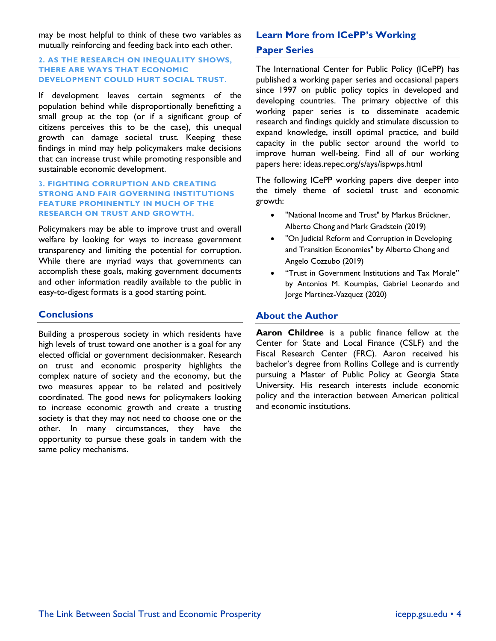may be most helpful to think of these two variables as mutually reinforcing and feeding back into each other.

#### **2. AS THE RESEARCH ON INEQUALITY SHOWS, THERE ARE WAYS THAT ECONOMIC DEVELOPMENT COULD HURT SOCIAL TRUST.**

If development leaves certain segments of the population behind while disproportionally benefitting a small group at the top (or if a significant group of citizens perceives this to be the case), this unequal growth can damage societal trust. Keeping these findings in mind may help policymakers make decisions that can increase trust while promoting responsible and sustainable economic development.

#### **3. FIGHTING CORRUPTION AND CREATING STRONG AND FAIR GOVERNING INSTITUTIONS FEATURE PROMINENTLY IN MUCH OF THE RESEARCH ON TRUST AND GROWTH.**

Policymakers may be able to improve trust and overall welfare by looking for ways to increase government transparency and limiting the potential for corruption. While there are myriad ways that governments can accomplish these goals, making government documents and other information readily available to the public in easy-to-digest formats is a good starting point.

## **Conclusions**

Building a prosperous society in which residents have high levels of trust toward one another is a goal for any elected official or government decisionmaker. Research on trust and economic prosperity highlights the complex nature of society and the economy, but the two measures appear to be related and positively coordinated. The good news for policymakers looking to increase economic growth and create a trusting society is that they may not need to choose one or the other. In many circumstances, they have the opportunity to pursue these goals in tandem with the same policy mechanisms.

## **Learn More from ICePP's Working Paper Series**

The International Center for Public Policy (ICePP) has published a working paper series and occasional papers since 1997 on public policy topics in developed and developing countries. The primary objective of this working paper series is to disseminate academic research and findings quickly and stimulate discussion to expand knowledge, instill optimal practice, and build capacity in the public sector around the world to improve human well-being. Find all of our working papers here: ideas.repec.org/s/ays/ispwps.html

The following ICePP working papers dive deeper into the timely theme of societal trust and economic growth:

- "National Income and Trust" by Markus Brückner, Alberto Chong and Mark Gradstein (2019)
- ["On Judicial Reform and Corruption in Developing](https://ideas.repec.org/p/ays/ispwps/paper1915.html)  [and Transition Economies"](https://ideas.repec.org/p/ays/ispwps/paper1915.html) by Alberto Chong and Angelo Cozzubo (2019)
- "Trust in Government Institutions and Tax Morale" by Antonios M. Koumpias, Gabriel Leonardo and Jorge Martinez-Vazquez (2020)

## **About the Author**

**Aaron Childree** is a public finance fellow at the Center for State and Local Finance (CSLF) and the Fiscal Research Center (FRC). Aaron received his bachelor's degree from Rollins College and is currently pursuing a Master of Public Policy at Georgia State University. His research interests include economic policy and the interaction between American political and economic institutions.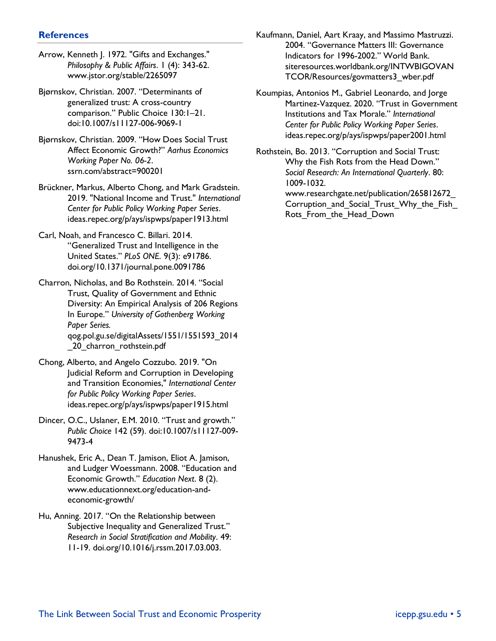#### **References**

- Arrow, Kenneth J. 1972. "Gifts and Exchanges." *Philosophy & Public Affairs*. 1 (4): 343-62. www.jstor.org/stable/2265097
- Bjørnskov, Christian. 2007. "Determinants of generalized trust: A cross-country comparison." Public Choice 130:1–21. doi:10.1007/s11127-006-9069-1
- Bjørnskov, Christian. 2009. "How Does Social Trust Affect Economic Growth?" *Aarhus Economics Working Paper No. 06-2*. ssrn.com/abstract=900201
- Brückner, Markus, Alberto Chong, and Mark Gradstein. 2019. "National Income and Trust." *International Center for Public Policy Working Paper Series*. ideas.repec.org/p/ays/ispwps/paper1913.html
- Carl, Noah, and Francesco C. Billari. 2014. "Generalized Trust and Intelligence in the United States." *PLoS ONE*. 9(3): e91786. doi.org/10.1371/journal.pone.0091786
- Charron, Nicholas, and Bo Rothstein. 2014. "Social Trust, Quality of Government and Ethnic Diversity: An Empirical Analysis of 206 Regions In Europe." *University of Gothenberg Working Paper Series.*  qog.pol.gu.se/digitalAssets/1551/1551593\_2014 20 charron rothstein.pdf
- Chong, Alberto, and Angelo Cozzubo. 2019. ["On](https://ideas.repec.org/p/ays/ispwps/paper1915.html)  [Judicial Reform and Corruption in Developing](https://ideas.repec.org/p/ays/ispwps/paper1915.html)  [and Transition Economies,"](https://ideas.repec.org/p/ays/ispwps/paper1915.html) *International Center for Public Policy Working Paper Series*. ideas.repec.org/p/ays/ispwps/paper1915.html
- Dincer, O.C., Uslaner, E.M. 2010. "Trust and growth." *Public Choice* 142 (59). doi:10.1007/s11127-009- 9473-4
- Hanushek, Eric A., Dean T. Jamison, Eliot A. Jamison, and Ludger Woessmann. 2008. "Education and Economic Growth." *Education Next*. 8 (2). www.educationnext.org/education-andeconomic-growth/
- Hu, Anning. 2017. "On the Relationship between Subjective Inequality and Generalized Trust." *Research in Social Stratification and Mobility*. 49: 11-19. doi.org/10.1016/j.rssm.2017.03.003.
- Kaufmann, Daniel, Aart Kraay, and Massimo Mastruzzi. 2004. "Governance Matters III: Governance Indicators for 1996-2002." World Bank. siteresources.worldbank.org/INTWBIGOVAN TCOR/Resources/govmatters3\_wber.pdf
- Koumpias, Antonios M., Gabriel Leonardo, and Jorge Martinez-Vazquez. 2020. "Trust in Government Institutions and Tax Morale." *International Center for Public Policy Working Paper Series*. ideas.repec.org/p/ays/ispwps/paper2001.html
- Rothstein, Bo. 2013. "Corruption and Social Trust: Why the Fish Rots from the Head Down." *Social Research: An International Quarterly*. 80: 1009-1032.
	- www.researchgate.net/publication/265812672\_ Corruption and Social Trust Why the Fish Rots From the Head Down